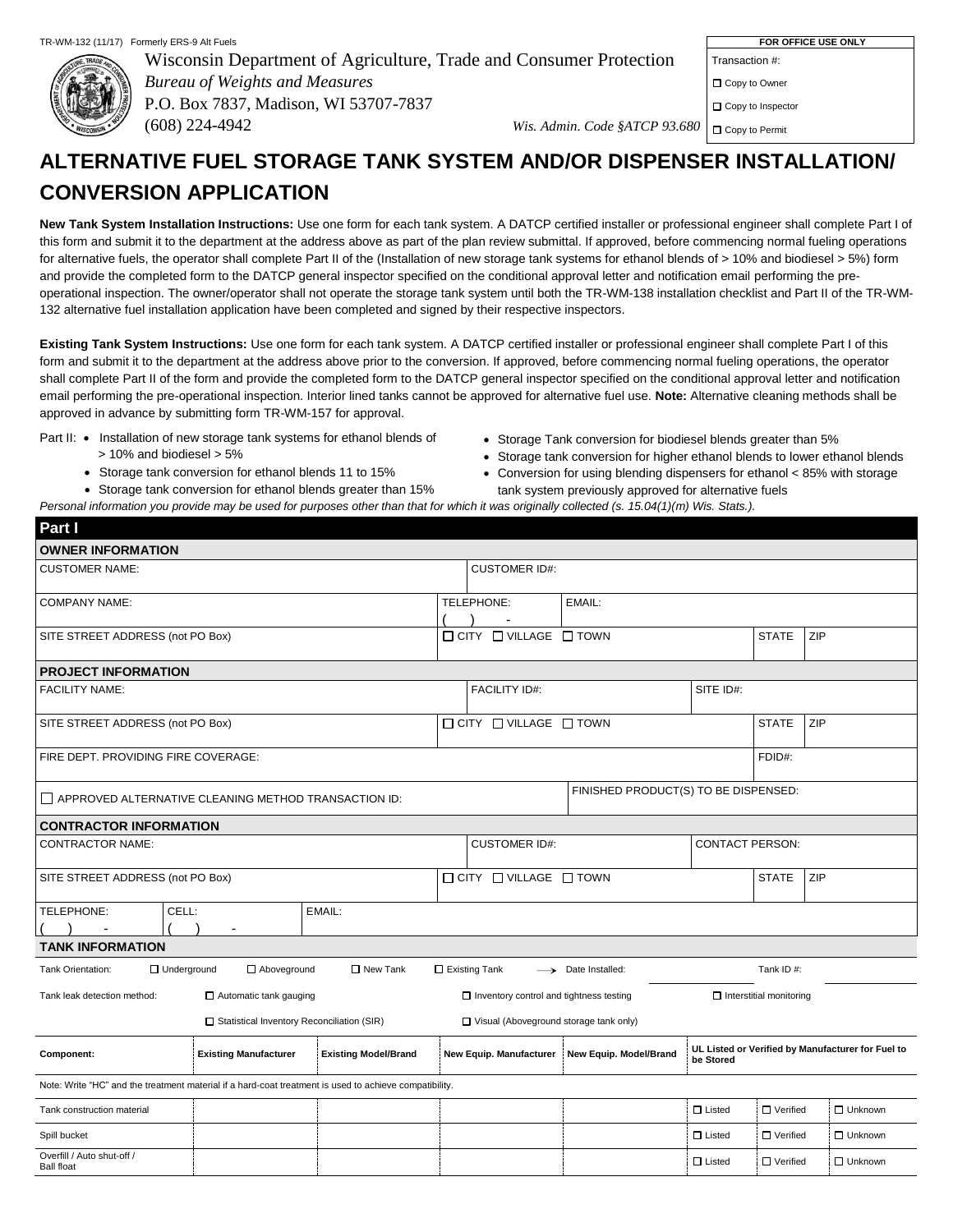

**Part I**

Wisconsin Department of Agriculture, Trade and Consumer Protection *Bureau of Weights and Measures* P.O. Box 7837, Madison, WI 53707-7837 (608) 224-4942 *Wis. Admin. Code §ATCP 93.680*

Transaction #:

□ Copy to Owner

□ Copy to Inspector

□ Copy to Permit

# **ALTERNATIVE FUEL STORAGE TANK SYSTEM AND/OR DISPENSER INSTALLATION/ CONVERSION APPLICATION**

**New Tank System Installation Instructions:** Use one form for each tank system. A DATCP certified installer or professional engineer shall complete Part I of this form and submit it to the department at the address above as part of the plan review submittal. If approved, before commencing normal fueling operations for alternative fuels, the operator shall complete Part II of the (Installation of new storage tank systems for ethanol blends of > 10% and biodiesel > 5%) form and provide the completed form to the DATCP general inspector specified on the conditional approval letter and notification email performing the preoperational inspection. The owner/operator shall not operate the storage tank system until both the TR-WM-138 installation checklist and Part II of the TR-WM-132 alternative fuel installation application have been completed and signed by their respective inspectors.

**Existing Tank System Instructions:** Use one form for each tank system. A DATCP certified installer or professional engineer shall complete Part I of this form and submit it to the department at the address above prior to the conversion. If approved, before commencing normal fueling operations, the operator shall complete Part II of the form and provide the completed form to the DATCP general inspector specified on the conditional approval letter and notification email performing the pre-operational inspection. Interior lined tanks cannot be approved for alternative fuel use. **Note:** Alternative cleaning methods shall be approved in advance by submitting form TR-WM-157 for approval.

- Part II: . Installation of new storage tank systems for ethanol blends of
	- > 10% and biodiesel > 5%
	- Storage tank conversion for ethanol blends 11 to 15%
	- Storage tank conversion for ethanol blends greater than 15%
- Storage Tank conversion for biodiesel blends greater than 5%
- Storage tank conversion for higher ethanol blends to lower ethanol blends
- Conversion for using blending dispensers for ethanol < 85% with storage tank system previously approved for alternative fuels

| Personal information you provide may be used for purposes other than that for which it was originally collected (s. 15.04(1)(m) Wis. Stats.). |  |  |  |
|-----------------------------------------------------------------------------------------------------------------------------------------------|--|--|--|

| <b>OWNER INFORMATION</b>                                                                               |                                              |                             |                                                |                                      |                        |                                |                                                   |
|--------------------------------------------------------------------------------------------------------|----------------------------------------------|-----------------------------|------------------------------------------------|--------------------------------------|------------------------|--------------------------------|---------------------------------------------------|
| <b>CUSTOMER NAME:</b>                                                                                  |                                              |                             | <b>CUSTOMER ID#:</b>                           |                                      |                        |                                |                                                   |
| <b>COMPANY NAME:</b>                                                                                   |                                              |                             | TELEPHONE:                                     | EMAIL:                               |                        |                                |                                                   |
|                                                                                                        |                                              |                             |                                                |                                      |                        |                                |                                                   |
| SITE STREET ADDRESS (not PO Box)                                                                       |                                              |                             | $\Box$ CITY $\Box$ VILLAGE $\Box$ TOWN         |                                      |                        | <b>STATE</b>                   | ZIP                                               |
| <b>PROJECT INFORMATION</b>                                                                             |                                              |                             |                                                |                                      |                        |                                |                                                   |
| <b>FACILITY NAME:</b>                                                                                  |                                              |                             | <b>FACILITY ID#:</b>                           |                                      | SITE ID#:              |                                |                                                   |
| SITE STREET ADDRESS (not PO Box)                                                                       |                                              |                             | $\Box$ CITY $\Box$ VILLAGE $\Box$ TOWN         |                                      |                        | <b>STATE</b>                   | ZIP                                               |
| FIRE DEPT. PROVIDING FIRE COVERAGE:                                                                    |                                              |                             |                                                |                                      |                        | FDID#:                         |                                                   |
| APPROVED ALTERNATIVE CLEANING METHOD TRANSACTION ID:                                                   |                                              |                             |                                                | FINISHED PRODUCT(S) TO BE DISPENSED: |                        |                                |                                                   |
| <b>CONTRACTOR INFORMATION</b>                                                                          |                                              |                             |                                                |                                      |                        |                                |                                                   |
| <b>CONTRACTOR NAME:</b>                                                                                |                                              |                             | <b>CUSTOMER ID#:</b>                           |                                      | <b>CONTACT PERSON:</b> |                                |                                                   |
| SITE STREET ADDRESS (not PO Box)                                                                       |                                              |                             | $\Box$ CITY $\Box$ VILLAGE $\Box$ TOWN         |                                      |                        | <b>STATE</b>                   | ZIP                                               |
| TELEPHONE:<br>CELL:                                                                                    |                                              | EMAIL:                      |                                                |                                      |                        |                                |                                                   |
| <b>TANK INFORMATION</b>                                                                                |                                              |                             |                                                |                                      |                        |                                |                                                   |
| □ Underground<br>Tank Orientation:                                                                     | Aboveground                                  | □ New Tank                  | Existing Tank                                  | $\longrightarrow$ Date Installed:    |                        | Tank ID#:                      |                                                   |
| Tank leak detection method:                                                                            | □ Automatic tank gauging                     |                             | $\Box$ Inventory control and tightness testing |                                      |                        | $\Box$ Interstitial monitoring |                                                   |
|                                                                                                        | □ Statistical Inventory Reconciliation (SIR) |                             | □ Visual (Aboveground storage tank only)       |                                      |                        |                                |                                                   |
| Component:                                                                                             | <b>Existing Manufacturer</b>                 | <b>Existing Model/Brand</b> | New Equip. Manufacturer                        | New Equip. Model/Brand               | be Stored              |                                | UL Listed or Verified by Manufacturer for Fuel to |
| Note: Write "HC" and the treatment material if a hard-coat treatment is used to achieve compatibility. |                                              |                             |                                                |                                      |                        |                                |                                                   |
| Tank construction material                                                                             |                                              |                             |                                                |                                      | $\Box$ Listed          | □ Verified                     | □ Unknown                                         |
| Spill bucket                                                                                           |                                              |                             |                                                |                                      | $\Box$ Listed          | □ Verified                     | $\Box$ Unknown                                    |
| Overfill / Auto shut-off /<br><b>Ball float</b>                                                        |                                              |                             |                                                |                                      | $\Box$ Listed          | $\Box$ Verified                | □ Unknown                                         |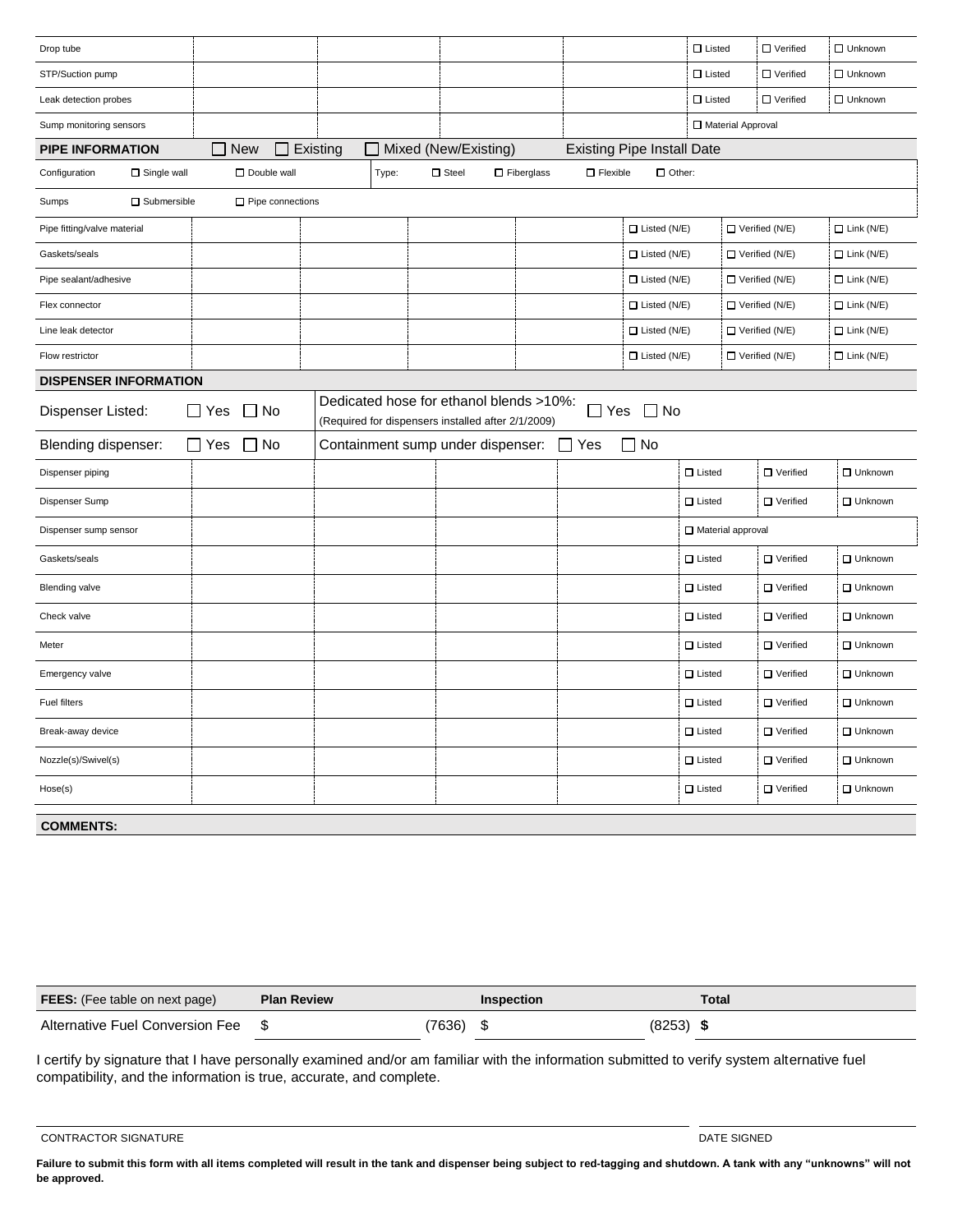| Drop tube                           |                            |          |       |                                                                                               |                   |                 |                                   | $\square$ Listed  | □ Verified            | □ Unknown         |
|-------------------------------------|----------------------------|----------|-------|-----------------------------------------------------------------------------------------------|-------------------|-----------------|-----------------------------------|-------------------|-----------------------|-------------------|
| STP/Suction pump                    |                            |          |       |                                                                                               |                   |                 |                                   | $\Box$ Listed     | □ Verified            | □ Unknown         |
| Leak detection probes               |                            |          |       |                                                                                               |                   |                 |                                   | $\Box$ Listed     | $\Box$ Verified       | □ Unknown         |
| Sump monitoring sensors             |                            |          |       |                                                                                               |                   |                 |                                   | Material Approval |                       |                   |
| <b>PIPE INFORMATION</b>             | <b>New</b><br>$\mathsf{L}$ | Existing |       | Mixed (New/Existing)                                                                          |                   |                 | <b>Existing Pipe Install Date</b> |                   |                       |                   |
| Configuration<br>$\Box$ Single wall | Double wall                |          | Type: | $\square$ Steel                                                                               | $\Box$ Fiberglass | $\Box$ Flexible | $\Box$ Other:                     |                   |                       |                   |
| $\square$ Submersible<br>Sumps      | $\Box$ Pipe connections    |          |       |                                                                                               |                   |                 |                                   |                   |                       |                   |
| Pipe fitting/valve material         |                            |          |       |                                                                                               |                   |                 | $\Box$ Listed (N/E)               |                   | $\Box$ Verified (N/E) | $\Box$ Link (N/E) |
| Gaskets/seals                       |                            |          |       |                                                                                               |                   |                 | $\Box$ Listed (N/E)               |                   | $\Box$ Verified (N/E) | $\Box$ Link (N/E) |
| Pipe sealant/adhesive               |                            |          |       |                                                                                               |                   |                 | $\Box$ Listed (N/E)               |                   | Verified (N/E)        | $\Box$ Link (N/E) |
| Flex connector                      |                            |          |       |                                                                                               |                   |                 | $\Box$ Listed (N/E)               |                   | $\Box$ Verified (N/E) | $\Box$ Link (N/E) |
| Line leak detector                  |                            |          |       |                                                                                               |                   |                 | $\Box$ Listed (N/E)               |                   | $\Box$ Verified (N/E) | $\Box$ Link (N/E) |
| Flow restrictor                     |                            |          |       |                                                                                               |                   |                 | $\Box$ Listed (N/E)               |                   | $\Box$ Verified (N/E) | $\Box$ Link (N/E) |
| <b>DISPENSER INFORMATION</b>        |                            |          |       |                                                                                               |                   |                 |                                   |                   |                       |                   |
| Dispenser Listed:                   | $\Box$ Yes<br>□ No         |          |       | Dedicated hose for ethanol blends >10%:<br>(Required for dispensers installed after 2/1/2009) |                   |                 | $\Box$ Yes $\Box$ No              |                   |                       |                   |
| Blending dispenser:                 | $\Box$ Yes<br><b>No</b>    |          |       | Containment sump under dispenser:                                                             |                   | l IYes          | $\Box$ No                         |                   |                       |                   |
| Dispenser piping                    |                            |          |       |                                                                                               |                   |                 |                                   | $\square$ Listed  | $\Box$ Verified       | □ Unknown         |
| Dispenser Sump                      |                            |          |       |                                                                                               |                   |                 |                                   | $\Box$ Listed     | □ Verified            | □ Unknown         |
| Dispenser sump sensor               |                            |          |       |                                                                                               |                   |                 |                                   | Material approval |                       |                   |
| Gaskets/seals                       |                            |          |       |                                                                                               |                   |                 |                                   | $\Box$ Listed     | □ Verified            | □ Unknown         |
| <b>Blending valve</b>               |                            |          |       |                                                                                               |                   |                 |                                   | $\Box$ Listed     | □ Verified            | □ Unknown         |
| Check valve                         |                            |          |       |                                                                                               |                   |                 |                                   | $\square$ Listed  | □ Verified            | □ Unknown         |
| Meter                               |                            |          |       |                                                                                               |                   |                 |                                   | $\Box$ Listed     | □ Verified            | <b>Unknown</b>    |
| Emergency valve                     |                            |          |       |                                                                                               |                   |                 |                                   | $\square$ Listed  | □ Verified            | □ Unknown         |
| Fuel filters                        |                            |          |       |                                                                                               |                   |                 |                                   | $\square$ Listed  | □ Verified            | □ Unknown         |
| Break-away device                   |                            |          |       |                                                                                               |                   |                 |                                   | $\Box$ Listed     | □ Verified            | □ Unknown         |
| Nozzle(s)/Swivel(s)                 |                            |          |       |                                                                                               |                   |                 |                                   | $\Box$ Listed     | □ Verified            | □ Unknown         |
| Hose(s)                             |                            |          |       |                                                                                               |                   |                 |                                   | $\Box$ Listed     | □ Verified            | <b>Unknown</b>    |
| <b>COMMENTS:</b>                    |                            |          |       |                                                                                               |                   |                 |                                   |                   |                       |                   |

| <b>FEES:</b> (Fee table on next page) | <b>Plan Review</b> |       | Inspection |        | Total |
|---------------------------------------|--------------------|-------|------------|--------|-------|
| Alternative Fuel Conversion Fee       |                    | 7636) |            | (8253) |       |

I certify by signature that I have personally examined and/or am familiar with the information submitted to verify system alternative fuel compatibility, and the information is true, accurate, and complete.

CONTRACTOR SIGNATURE **External of the control of the control of the control of the control of the control of the control of the control of the control of the control of the control of the control of the control of the cont** 

**Failure to submit this form with all items completed will result in the tank and dispenser being subject to red-tagging and shutdown. A tank with any "unknowns" will not be approved.**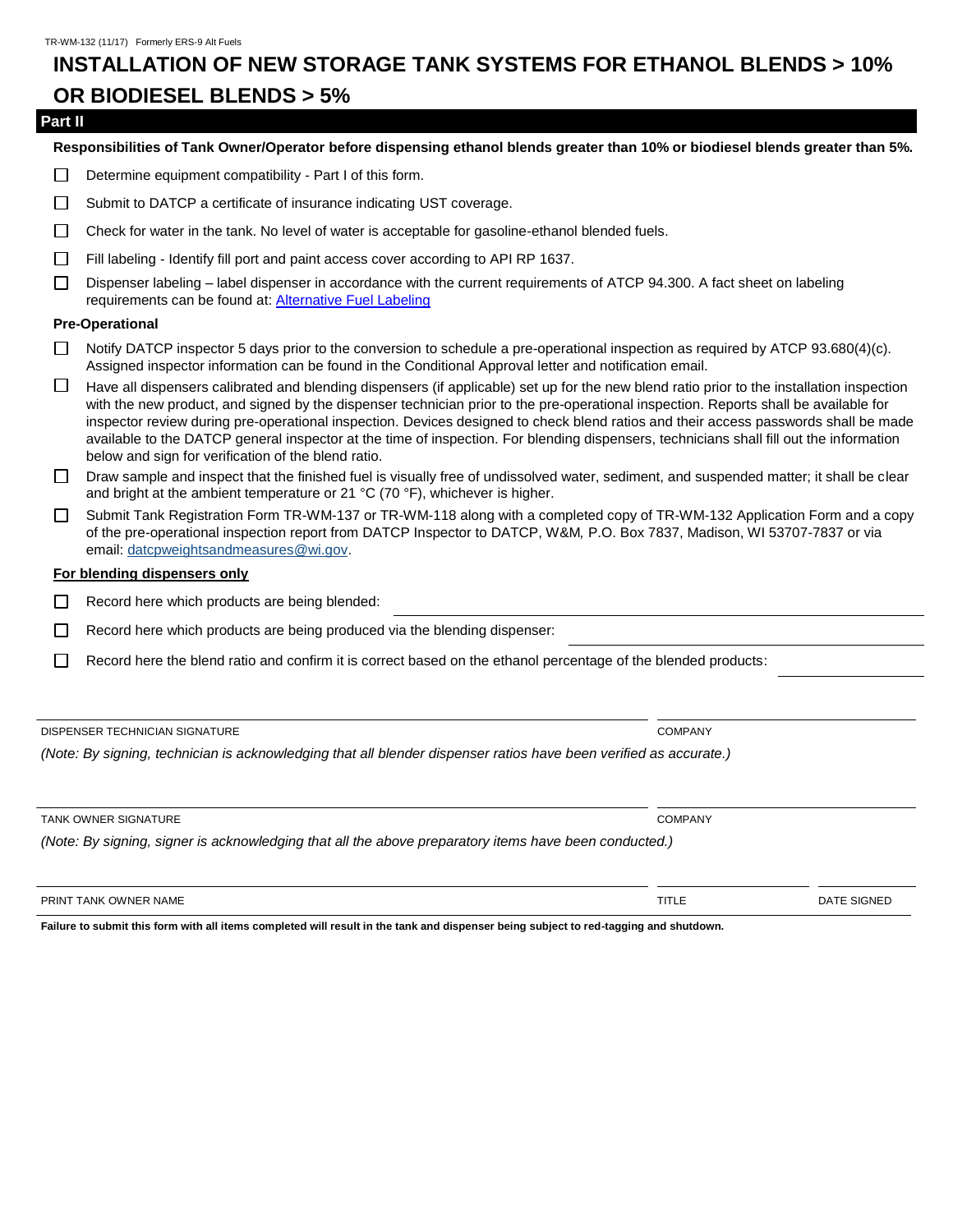### **INSTALLATION OF NEW STORAGE TANK SYSTEMS FOR ETHANOL BLENDS > 10% OR BIODIESEL BLENDS > 5%**

#### **Part II**

**Responsibilities of Tank Owner/Operator before dispensing ethanol blends greater than 10% or biodiesel blends greater than 5%.**

- Determine equipment compatibility Part I of this form.  $\Box$
- П Submit to DATCP a certificate of insurance indicating UST coverage.
- $\Box$ Check for water in the tank. No level of water is acceptable for gasoline-ethanol blended fuels.
- Fill labeling Identify fill port and paint access cover according to API RP 1637.  $\Box$
- П Dispenser labeling – label dispenser in accordance with the current requirements of ATCP 94.300. A fact sheet on labeling requirements can be found at: Alternative [Fuel Labeling](https://datcp.wi.gov/Documents/AlternativeFuelLabelingFactSheet.pdf)

#### **Pre-Operational**

- Notify DATCP inspector 5 days prior to the conversion to schedule a pre-operational inspection as required by ATCP 93.680(4)(c). Assigned inspector information can be found in the Conditional Approval letter and notification email.
- $\Box$ Have all dispensers calibrated and blending dispensers (if applicable) set up for the new blend ratio prior to the installation inspection with the new product, and signed by the dispenser technician prior to the pre-operational inspection. Reports shall be available for inspector review during pre-operational inspection. Devices designed to check blend ratios and their access passwords shall be made available to the DATCP general inspector at the time of inspection. For blending dispensers, technicians shall fill out the information below and sign for verification of the blend ratio.
- $\Box$  Draw sample and inspect that the finished fuel is visually free of undissolved water, sediment, and suspended matter; it shall be clear and bright at the ambient temperature or 21 °C (70 °F), whichever is higher.
- Submit Tank Registration Form TR-WM-137 or TR-WM-118 along with a completed copy of TR-WM-132 Application Form and a copy  $\Box$ of the pre-operational inspection report from DATCP Inspector to DATCP, W&M*,* P.O. Box 7837, Madison, WI 53707-7837 or via email: [datcpweightsandmeasures@wi.gov.](mailto:datcpweightsandmeasures@wi.gov)

#### **For blending dispensers only**

Record here which products are being blended:  $\Box$ 

- П Record here which products are being produced via the blending dispenser:
- П Record here the blend ratio and confirm it is correct based on the ethanol percentage of the blended products:

DISPENSER TECHNICIAN SIGNATURE COMPANY

*(Note: By signing, technician is acknowledging that all blender dispenser ratios have been verified as accurate.)*

*(Note: By signing, signer is acknowledging that all the above preparatory items have been conducted.)*

PRINT TANK OWNER NAME THE RESIGNED AND RESIGNED AND THE RESIGNED AND TITLE THE RESIGNED AND DATE SIGNED

**Failure to submit this form with all items completed will result in the tank and dispenser being subject to red-tagging and shutdown.** 

TANK OWNER SIGNATURE COMPANY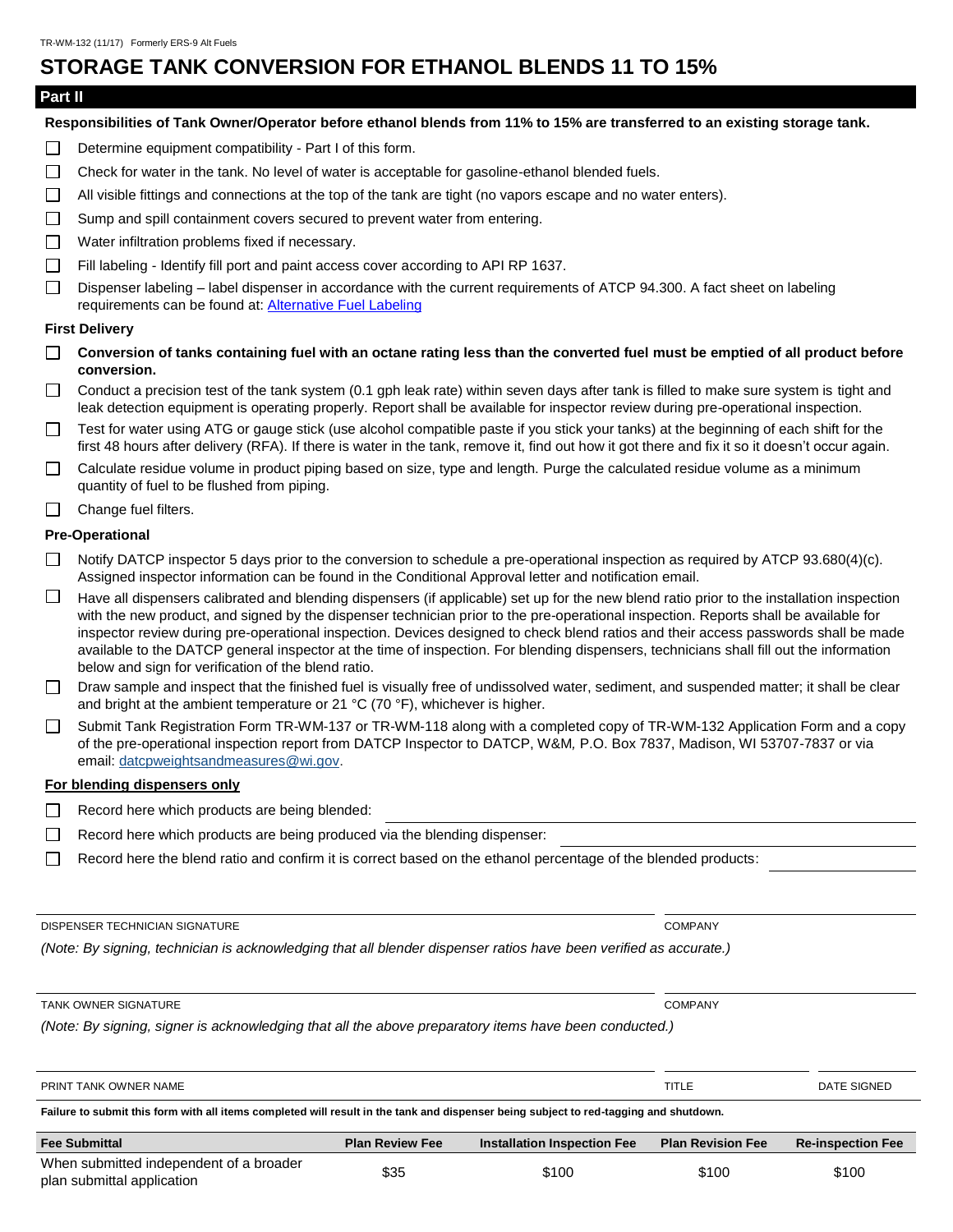### **STORAGE TANK CONVERSION FOR ETHANOL BLENDS 11 TO 15%**

### **Part II**

**Responsibilities of Tank Owner/Operator before ethanol blends from 11% to 15% are transferred to an existing storage tank.**

- Determine equipment compatibility Part I of this form.  $\Box$
- $\Box$ Check for water in the tank. No level of water is acceptable for gasoline-ethanol blended fuels.
- $\Box$ All visible fittings and connections at the top of the tank are tight (no vapors escape and no water enters).
- Sump and spill containment covers secured to prevent water from entering.  $\Box$
- $\Box$ Water infiltration problems fixed if necessary.
- $\Box$ Fill labeling - Identify fill port and paint access cover according to API RP 1637.
- $\Box$ Dispenser labeling – label dispenser in accordance with the current requirements of ATCP 94.300. A fact sheet on labeling requirements can be found at: Alternative [Fuel Labeling](https://datcp.wi.gov/Documents/AlternativeFuelLabelingFactSheet.pdf)

#### **First Delivery**

- **Conversion of tanks containing fuel with an octane rating less than the converted fuel must be emptied of all product before conversion.**
- $\Box$ Conduct a precision test of the tank system (0.1 gph leak rate) within seven days after tank is filled to make sure system is tight and leak detection equipment is operating properly. Report shall be available for inspector review during pre-operational inspection.
- Test for water using ATG or gauge stick (use alcohol compatible paste if you stick your tanks) at the beginning of each shift for the  $\Box$ first 48 hours after delivery (RFA). If there is water in the tank, remove it, find out how it got there and fix it so it doesn't occur again.
- $\Box$ Calculate residue volume in product piping based on size, type and length. Purge the calculated residue volume as a minimum quantity of fuel to be flushed from piping.
- Change fuel filters.  $\Box$

#### **Pre-Operational**

- $\Box$ Notify DATCP inspector 5 days prior to the conversion to schedule a pre-operational inspection as required by ATCP 93.680(4)(c). Assigned inspector information can be found in the Conditional Approval letter and notification email.
- $\Box$ Have all dispensers calibrated and blending dispensers (if applicable) set up for the new blend ratio prior to the installation inspection with the new product, and signed by the dispenser technician prior to the pre-operational inspection. Reports shall be available for inspector review during pre-operational inspection. Devices designed to check blend ratios and their access passwords shall be made available to the DATCP general inspector at the time of inspection. For blending dispensers, technicians shall fill out the information below and sign for verification of the blend ratio.
- Draw sample and inspect that the finished fuel is visually free of undissolved water, sediment, and suspended matter; it shall be clear  $\Box$ and bright at the ambient temperature or 21 °C (70 °F), whichever is higher.
- Submit Tank Registration Form TR-WM-137 or TR-WM-118 along with a completed copy of TR-WM-132 Application Form and a copy  $\Box$ of the pre-operational inspection report from DATCP Inspector to DATCP, W&M*,* P.O. Box 7837, Madison, WI 53707-7837 or via email: [datcpweightsandmeasures@wi.gov.](mailto:datcpweightsandmeasures@wi.gov)

#### **For blending dispensers only**

- $\Box$ Record here which products are being blended:
- $\Box$ Record here which products are being produced via the blending dispenser:
- Record here the blend ratio and confirm it is correct based on the ethanol percentage of the blended products:  $\Box$

DISPENSER TECHNICIAN SIGNATURE COMPANY

*(Note: By signing, technician is acknowledging that all blender dispenser ratios have been verified as accurate.)*

TANK OWNER SIGNATURE COMPANY

| PRINT TANK OWNER NAME                                                                                                                 |                        |                                    | TITLE                    | DATE SIGNED              |
|---------------------------------------------------------------------------------------------------------------------------------------|------------------------|------------------------------------|--------------------------|--------------------------|
| Failure to submit this form with all items completed will result in the tank and dispenser being subject to red-tagging and shutdown. |                        |                                    |                          |                          |
|                                                                                                                                       |                        |                                    |                          |                          |
| <b>Fee Submittal</b>                                                                                                                  | <b>Plan Review Fee</b> | <b>Installation Inspection Fee</b> | <b>Plan Revision Fee</b> | <b>Re-inspection Fee</b> |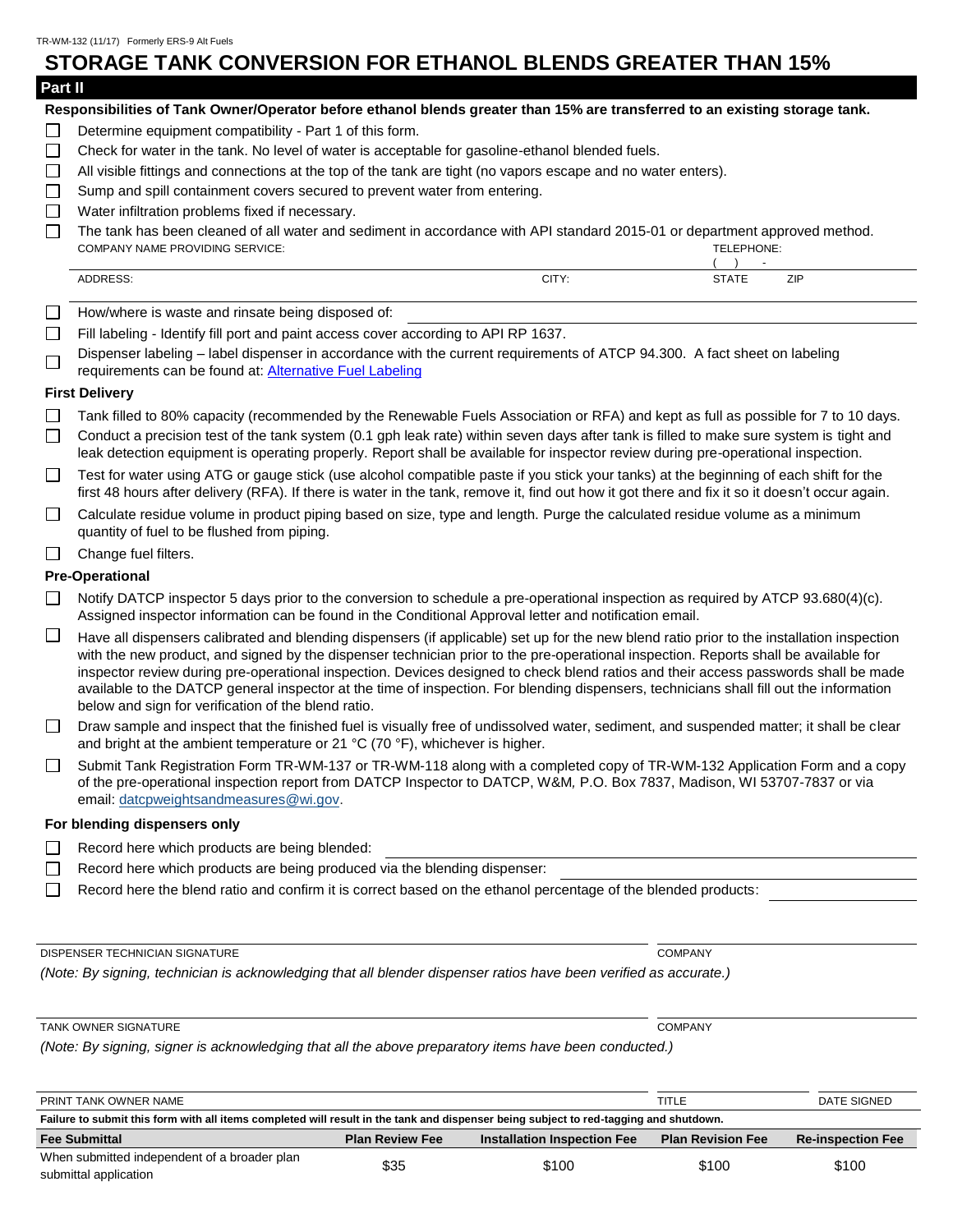#### **STORAGE TANK CONVERSION FOR ETHANOL BLENDS GREATER THAN 15% Part II Responsibilities of Tank Owner/Operator before ethanol blends greater than 15% are transferred to an existing storage tank.** Determine equipment compatibility - Part 1 of this form.  $\Box$ Check for water in the tank. No level of water is acceptable for gasoline-ethanol blended fuels.  $\Box$  $\Box$ All visible fittings and connections at the top of the tank are tight (no vapors escape and no water enters).  $\Box$ Sump and spill containment covers secured to prevent water from entering.  $\Box$ Water infiltration problems fixed if necessary.  $\Box$ The tank has been cleaned of all water and sediment in accordance with API standard 2015-01 or department approved method. COMPANY NAME PROVIDING SERVICE: TELEPHONE: ( ) - ADDRESS: CITY: STATE ZIP □ How/where is waste and rinsate being disposed of:  $\Box$ Fill labeling - Identify fill port and paint access cover according to API RP 1637. Dispenser labeling – label dispenser in accordance with the current requirements of ATCP 94.300. A fact sheet on labeling  $\Box$ requirements can be found at: Alternative [Fuel Labeling](https://datcp.wi.gov/Documents/AlternativeFuelLabelingFactSheet.pdf) **First Delivery**  $\Box$ Tank filled to 80% capacity (recommended by the Renewable Fuels Association or RFA) and kept as full as possible for 7 to 10 days.  $\Box$ Conduct a precision test of the tank system (0.1 gph leak rate) within seven days after tank is filled to make sure system is tight and leak detection equipment is operating properly. Report shall be available for inspector review during pre-operational inspection.  $\Box$ Test for water using ATG or gauge stick (use alcohol compatible paste if you stick your tanks) at the beginning of each shift for the first 48 hours after delivery (RFA). If there is water in the tank, remove it, find out how it got there and fix it so it doesn't occur again.  $\Box$ Calculate residue volume in product piping based on size, type and length. Purge the calculated residue volume as a minimum quantity of fuel to be flushed from piping.  $\Box$  Change fuel filters. **Pre-Operational**  $\Box$ Notify DATCP inspector 5 days prior to the conversion to schedule a pre-operational inspection as required by ATCP 93.680(4)(c). Assigned inspector information can be found in the Conditional Approval letter and notification email.  $\Box$ Have all dispensers calibrated and blending dispensers (if applicable) set up for the new blend ratio prior to the installation inspection with the new product, and signed by the dispenser technician prior to the pre-operational inspection. Reports shall be available for inspector review during pre-operational inspection. Devices designed to check blend ratios and their access passwords shall be made available to the DATCP general inspector at the time of inspection. For blending dispensers, technicians shall fill out the information below and sign for verification of the blend ratio.  $\Box$ Draw sample and inspect that the finished fuel is visually free of undissolved water, sediment, and suspended matter; it shall be clear and bright at the ambient temperature or 21 °C (70 °F), whichever is higher. Submit Tank Registration Form TR-WM-137 or TR-WM-118 along with a completed copy of TR-WM-132 Application Form and a copy  $\Box$ of the pre-operational inspection report from DATCP Inspector to DATCP, W&M*,* P.O. Box 7837, Madison, WI 53707-7837 or via

- **For blending dispensers only**
- Record here which products are being blended:  $\Box$

email[: datcpweightsandmeasures@wi.gov.](mailto:datcpweightsandmeasures@wi.gov)

- $\Box$ Record here which products are being produced via the blending dispenser:
- □ Record here the blend ratio and confirm it is correct based on the ethanol percentage of the blended products:

DISPENSER TECHNICIAN SIGNATURE COMPANY

*(Note: By signing, technician is acknowledging that all blender dispenser ratios have been verified as accurate.)*

| <b>TANK OWNER SIGNATURE</b> | COMPANY |
|-----------------------------|---------|
|-----------------------------|---------|

| PRINT TANK OWNER NAME                                                                                                                 |                        |                                    | TITLE                    | DATE SIGNED              |
|---------------------------------------------------------------------------------------------------------------------------------------|------------------------|------------------------------------|--------------------------|--------------------------|
| Failure to submit this form with all items completed will result in the tank and dispenser being subject to red-tagging and shutdown. |                        |                                    |                          |                          |
| <b>Fee Submittal</b>                                                                                                                  | <b>Plan Review Fee</b> | <b>Installation Inspection Fee</b> | <b>Plan Revision Fee</b> | <b>Re-inspection Fee</b> |
| When submitted independent of a broader plan                                                                                          | \$35                   | \$100                              | \$100                    | \$100                    |
|                                                                                                                                       |                        |                                    |                          |                          |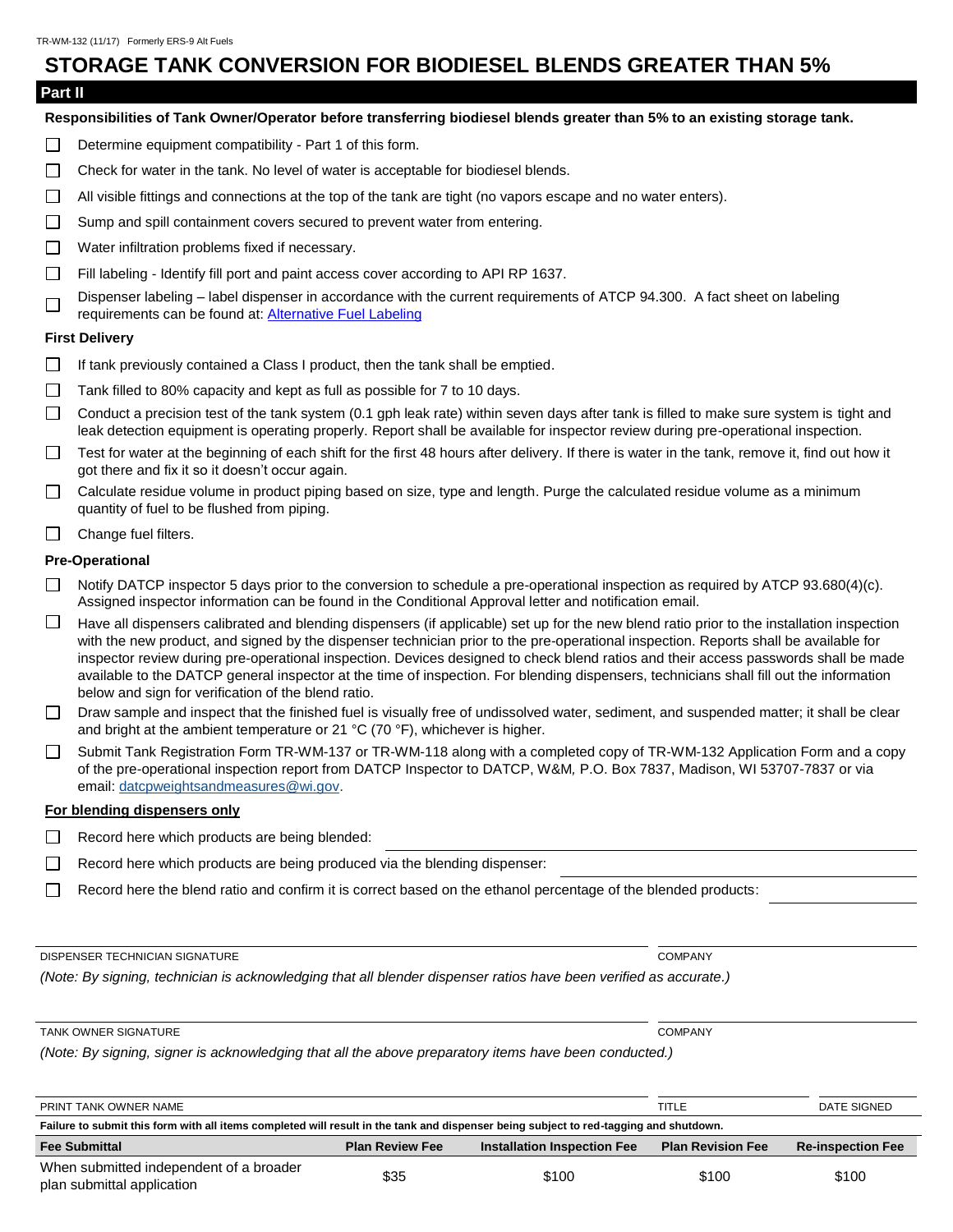### **STORAGE TANK CONVERSION FOR BIODIESEL BLENDS GREATER THAN 5%**

#### **Part II**

#### **Responsibilities of Tank Owner/Operator before transferring biodiesel blends greater than 5% to an existing storage tank.**

- $\Box$ Determine equipment compatibility - Part 1 of this form.
- $\Box$ Check for water in the tank. No level of water is acceptable for biodiesel blends.
- $\Box$ All visible fittings and connections at the top of the tank are tight (no vapors escape and no water enters).
- $\Box$ Sump and spill containment covers secured to prevent water from entering.
- $\Box$ Water infiltration problems fixed if necessary.
- $\Box$ Fill labeling - Identify fill port and paint access cover according to API RP 1637.
- Dispenser labeling label dispenser in accordance with the current requirements of ATCP 94.300. A fact sheet on labeling  $\Box$ requirements can be found at: Alternative [Fuel Labeling](https://datcp.wi.gov/Documents/AlternativeFuelLabelingFactSheet.pdf)

#### **First Delivery**

- $\Box$ If tank previously contained a Class I product, then the tank shall be emptied.
- $\Box$ Tank filled to 80% capacity and kept as full as possible for 7 to 10 days.
- П. Conduct a precision test of the tank system (0.1 gph leak rate) within seven days after tank is filled to make sure system is tight and leak detection equipment is operating properly. Report shall be available for inspector review during pre-operational inspection.
- $\Box$ Test for water at the beginning of each shift for the first 48 hours after delivery. If there is water in the tank, remove it, find out how it got there and fix it so it doesn't occur again.
- $\Box$ Calculate residue volume in product piping based on size, type and length. Purge the calculated residue volume as a minimum quantity of fuel to be flushed from piping.
- $\Box$  Change fuel filters.

#### **Pre-Operational**

- Notify DATCP inspector 5 days prior to the conversion to schedule a pre-operational inspection as required by ATCP  $93.680(4)(c)$ . Assigned inspector information can be found in the Conditional Approval letter and notification email.
- $\Box$ Have all dispensers calibrated and blending dispensers (if applicable) set up for the new blend ratio prior to the installation inspection with the new product, and signed by the dispenser technician prior to the pre-operational inspection. Reports shall be available for inspector review during pre-operational inspection. Devices designed to check blend ratios and their access passwords shall be made available to the DATCP general inspector at the time of inspection. For blending dispensers, technicians shall fill out the information below and sign for verification of the blend ratio.
- Draw sample and inspect that the finished fuel is visually free of undissolved water, sediment, and suspended matter; it shall be clear  $\Box$ and bright at the ambient temperature or 21 °C (70 °F), whichever is higher.
- Submit Tank Registration Form TR-WM-137 or TR-WM-118 along with a completed copy of TR-WM-132 Application Form and a copy  $\Box$ of the pre-operational inspection report from DATCP Inspector to DATCP, W&M*,* P.O. Box 7837, Madison, WI 53707-7837 or via email[: datcpweightsandmeasures@wi.gov.](mailto:datcpweightsandmeasures@wi.gov)

#### **For blending dispensers only**

- $\Box$  Record here which products are being blended:
- $\Box$ Record here which products are being produced via the blending dispenser:
- П Record here the blend ratio and confirm it is correct based on the ethanol percentage of the blended products:

DISPENSER TECHNICIAN SIGNATURE COMPANY

*(Note: By signing, technician is acknowledging that all blender dispenser ratios have been verified as accurate.)*

#### TANK OWNER SIGNATURE COMPANY

| PRINT TANK OWNER NAME                                                                                                                 |                        |                                    | TITLE                    | DATE SIGNED              |
|---------------------------------------------------------------------------------------------------------------------------------------|------------------------|------------------------------------|--------------------------|--------------------------|
| Failure to submit this form with all items completed will result in the tank and dispenser being subject to red-tagging and shutdown. |                        |                                    |                          |                          |
| <b>Fee Submittal</b>                                                                                                                  | <b>Plan Review Fee</b> | <b>Installation Inspection Fee</b> | <b>Plan Revision Fee</b> | <b>Re-inspection Fee</b> |
| When submitted independent of a broader<br>plan submittal application                                                                 | \$35                   | \$100                              | \$100                    | \$100                    |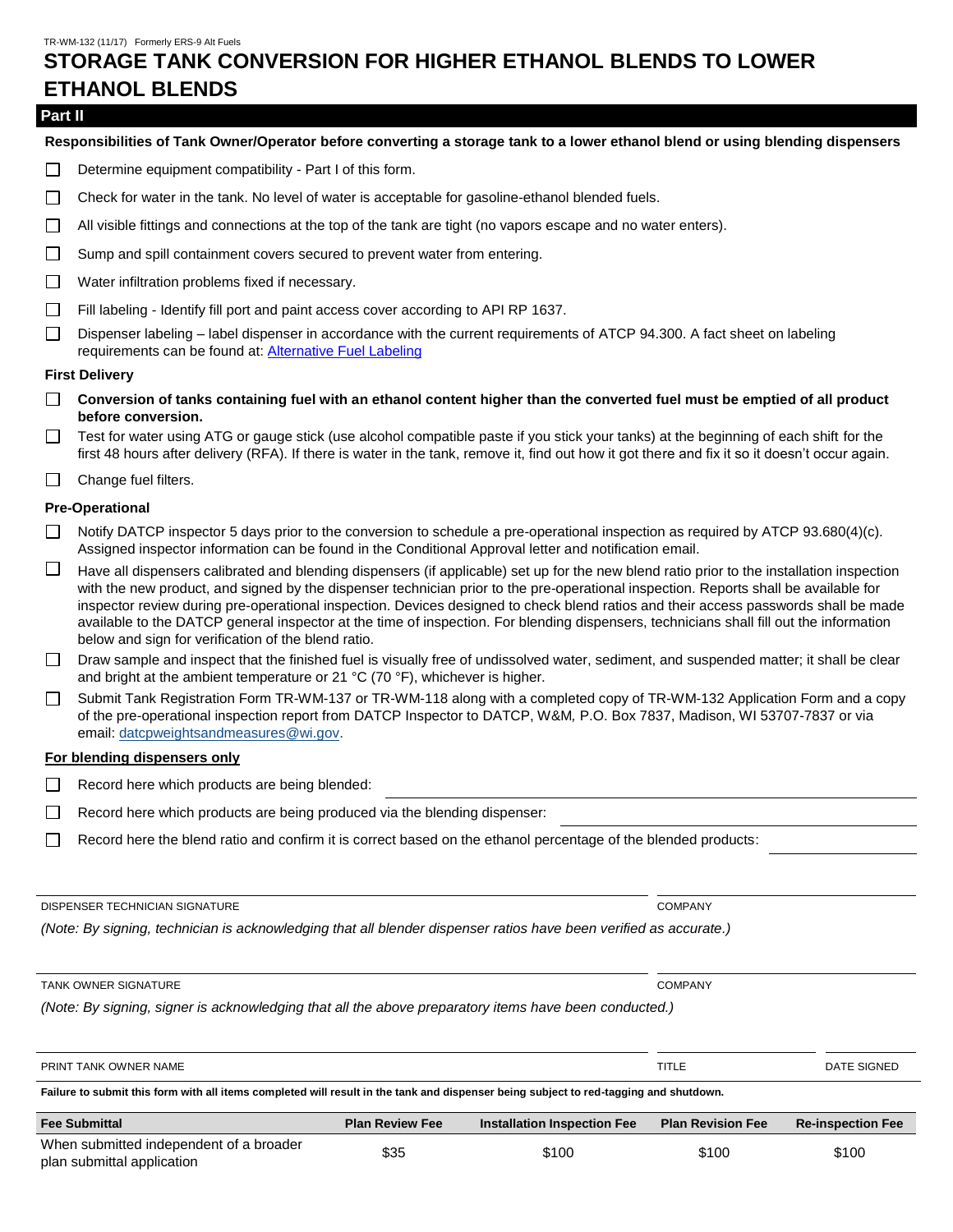## **STORAGE TANK CONVERSION FOR HIGHER ETHANOL BLENDS TO LOWER ETHANOL BLENDS**

#### **Part II**

#### **Responsibilities of Tank Owner/Operator before converting a storage tank to a lower ethanol blend or using blending dispensers**

- $\Box$ Determine equipment compatibility - Part I of this form.
- $\Box$ Check for water in the tank. No level of water is acceptable for gasoline-ethanol blended fuels.
- $\Box$ All visible fittings and connections at the top of the tank are tight (no vapors escape and no water enters).
- $\Box$ Sump and spill containment covers secured to prevent water from entering.
- $\Box$ Water infiltration problems fixed if necessary.
- $\Box$ Fill labeling - Identify fill port and paint access cover according to API RP 1637.
- $\Box$ Dispenser labeling – label dispenser in accordance with the current requirements of ATCP 94.300. A fact sheet on labeling requirements can be found at: Alternative [Fuel Labeling](https://datcp.wi.gov/Documents/AlternativeFuelLabelingFactSheet.pdf)

#### **First Delivery**

- **Conversion of tanks containing fuel with an ethanol content higher than the converted fuel must be emptied of all product**   $\Box$ **before conversion.**
- $\Box$  Test for water using ATG or gauge stick (use alcohol compatible paste if you stick your tanks) at the beginning of each shift for the first 48 hours after delivery (RFA). If there is water in the tank, remove it, find out how it got there and fix it so it doesn't occur again.
- $\Box$ Change fuel filters.

#### **Pre-Operational**

- $\Box$ Notify DATCP inspector 5 days prior to the conversion to schedule a pre-operational inspection as required by ATCP 93.680(4)(c). Assigned inspector information can be found in the Conditional Approval letter and notification email.
- $\Box$ Have all dispensers calibrated and blending dispensers (if applicable) set up for the new blend ratio prior to the installation inspection with the new product, and signed by the dispenser technician prior to the pre-operational inspection. Reports shall be available for inspector review during pre-operational inspection. Devices designed to check blend ratios and their access passwords shall be made available to the DATCP general inspector at the time of inspection. For blending dispensers, technicians shall fill out the information below and sign for verification of the blend ratio.
- Draw sample and inspect that the finished fuel is visually free of undissolved water, sediment, and suspended matter; it shall be clear  $\Box$ and bright at the ambient temperature or 21 °C (70 °F), whichever is higher.
- Submit Tank Registration Form TR-WM-137 or TR-WM-118 along with a completed copy of TR-WM-132 Application Form and a copy  $\Box$ of the pre-operational inspection report from DATCP Inspector to DATCP, W&M*,* P.O. Box 7837, Madison, WI 53707-7837 or via email[: datcpweightsandmeasures@wi.gov.](mailto:datcpweightsandmeasures@wi.gov)

#### **For blending dispensers only**

- П. Record here which products are being blended:
- $\Box$ Record here which products are being produced via the blending dispenser:
- $\Box$ Record here the blend ratio and confirm it is correct based on the ethanol percentage of the blended products:

DISPENSER TECHNICIAN SIGNATURE COMPANY

*(Note: By signing, technician is acknowledging that all blender dispenser ratios have been verified as accurate.)*

TANK OWNER SIGNATURE COMPANY

| PRINT TANK OWNER NAME                                                                                                                 |                        |                                    | TITLE                    | DATE SIGNED              |
|---------------------------------------------------------------------------------------------------------------------------------------|------------------------|------------------------------------|--------------------------|--------------------------|
| Failure to submit this form with all items completed will result in the tank and dispenser being subject to red-tagging and shutdown. |                        |                                    |                          |                          |
| <b>Fee Submittal</b>                                                                                                                  | <b>Plan Review Fee</b> | <b>Installation Inspection Fee</b> | <b>Plan Revision Fee</b> | <b>Re-inspection Fee</b> |
|                                                                                                                                       |                        |                                    |                          |                          |